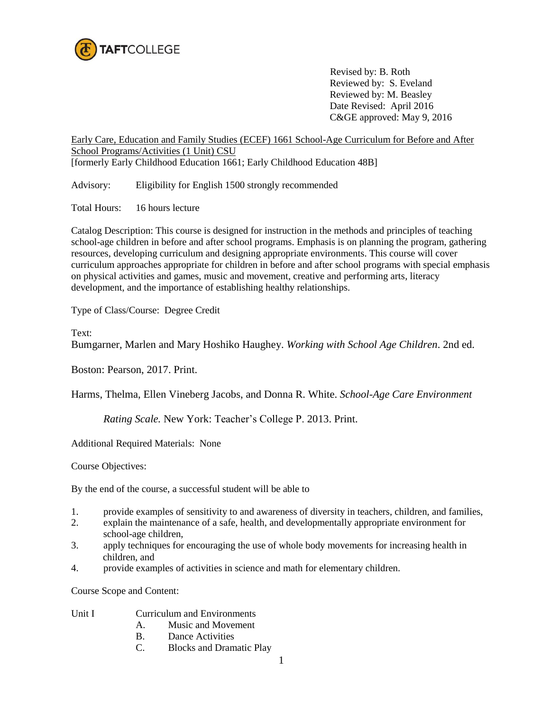

 Revised by: B. Roth Reviewed by: S. Eveland Reviewed by: M. Beasley Date Revised: April 2016 C&GE approved: May 9, 2016

Early Care, Education and Family Studies (ECEF) 1661 School-Age Curriculum for Before and After School Programs/Activities (1 Unit) CSU [formerly Early Childhood Education 1661; Early Childhood Education 48B]

Advisory: Eligibility for English 1500 strongly recommended

Total Hours: 16 hours lecture

Catalog Description: This course is designed for instruction in the methods and principles of teaching school-age children in before and after school programs. Emphasis is on planning the program, gathering resources, developing curriculum and designing appropriate environments. This course will cover curriculum approaches appropriate for children in before and after school programs with special emphasis on physical activities and games, music and movement, creative and performing arts, literacy development, and the importance of establishing healthy relationships.

Type of Class/Course: Degree Credit

Text:

Bumgarner, Marlen and Mary Hoshiko Haughey. *Working with School Age Children*. 2nd ed.

Boston: Pearson, 2017. Print.

Harms, Thelma, Ellen Vineberg Jacobs, and Donna R. White. *School-Age Care Environment* 

*Rating Scale.* New York: Teacher's College P. 2013. Print.

Additional Required Materials: None

Course Objectives:

By the end of the course, a successful student will be able to

- 1. provide examples of sensitivity to and awareness of diversity in teachers, children, and families,
- 2. explain the maintenance of a safe, health, and developmentally appropriate environment for school-age children,
- 3. apply techniques for encouraging the use of whole body movements for increasing health in children, and
- 4. provide examples of activities in science and math for elementary children.

Course Scope and Content:

- Unit I Curriculum and Environments
	- A. Music and Movement
	- B. Dance Activities
	- C. Blocks and Dramatic Play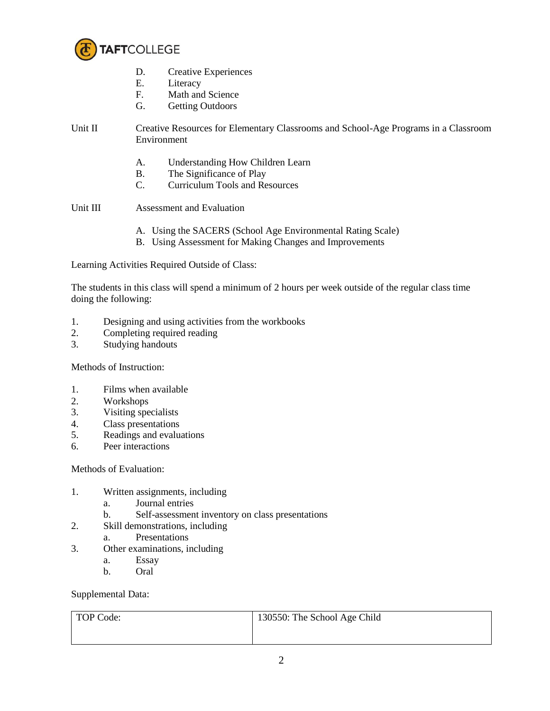

- D. Creative Experiences
- E. Literacy<br>F. Math and
- Math and Science
- G. Getting Outdoors

## Unit II Creative Resources for Elementary Classrooms and School-Age Programs in a Classroom Environment

- A. Understanding How Children Learn
- B. The Significance of Play
- C. Curriculum Tools and Resources

Unit III Assessment and Evaluation

- A. Using the SACERS (School Age Environmental Rating Scale)
- B. Using Assessment for Making Changes and Improvements

Learning Activities Required Outside of Class:

The students in this class will spend a minimum of 2 hours per week outside of the regular class time doing the following:

- 1. Designing and using activities from the workbooks
- 2. Completing required reading
- 3. Studying handouts

Methods of Instruction:

- 1. Films when available
- 2. Workshops
- 3. Visiting specialists
- 4. Class presentations
- 5. Readings and evaluations
- 6. Peer interactions

## Methods of Evaluation:

- 1. Written assignments, including
	- a. Journal entries
	- b. Self-assessment inventory on class presentations
- 2. Skill demonstrations, including
	- a. Presentations
- 3. Other examinations, including
	- a. Essay
	- b. Oral

Supplemental Data:

| TOP Code: | 130550: The School Age Child |
|-----------|------------------------------|
|           |                              |
|           |                              |